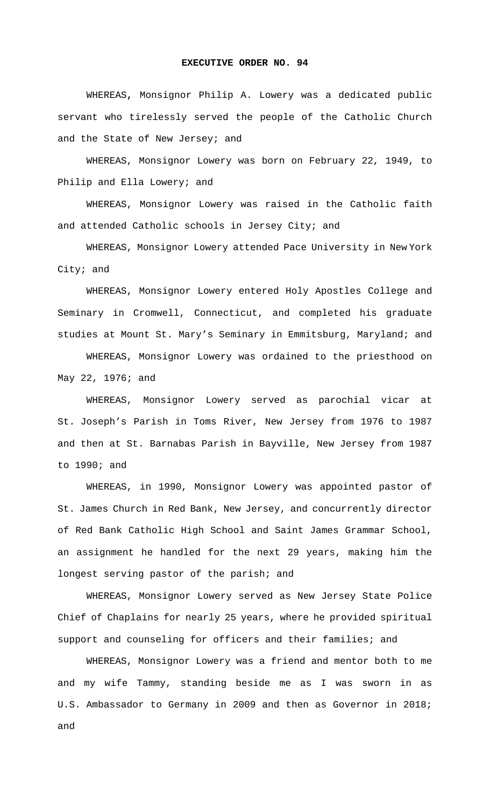## **EXECUTIVE ORDER NO. 94**

 WHEREAS**,** Monsignor Philip A. Lowery was a dedicated public servant who tirelessly served the people of the Catholic Church and the State of New Jersey; and

WHEREAS, Monsignor Lowery was born on February 22, 1949, to Philip and Ella Lowery; and

WHEREAS, Monsignor Lowery was raised in the Catholic faith and attended Catholic schools in Jersey City; and

WHEREAS, Monsignor Lowery attended Pace University in New York City; and

WHEREAS, Monsignor Lowery entered Holy Apostles College and Seminary in Cromwell, Connecticut, and completed his graduate studies at Mount St. Mary's Seminary in Emmitsburg, Maryland; and

WHEREAS, Monsignor Lowery was ordained to the priesthood on May 22, 1976; and

WHEREAS, Monsignor Lowery served as parochial vicar at St. Joseph's Parish in Toms River, New Jersey from 1976 to 1987 and then at St. Barnabas Parish in Bayville, New Jersey from 1987 to 1990; and

WHEREAS, in 1990, Monsignor Lowery was appointed pastor of St. James Church in Red Bank, New Jersey, and concurrently director of Red Bank Catholic High School and Saint James Grammar School, an assignment he handled for the next 29 years, making him the longest serving pastor of the parish; and

WHEREAS, Monsignor Lowery served as New Jersey State Police Chief of Chaplains for nearly 25 years, where he provided spiritual support and counseling for officers and their families; and

WHEREAS, Monsignor Lowery was a friend and mentor both to me and my wife Tammy, standing beside me as I was sworn in as U.S. Ambassador to Germany in 2009 and then as Governor in 2018; and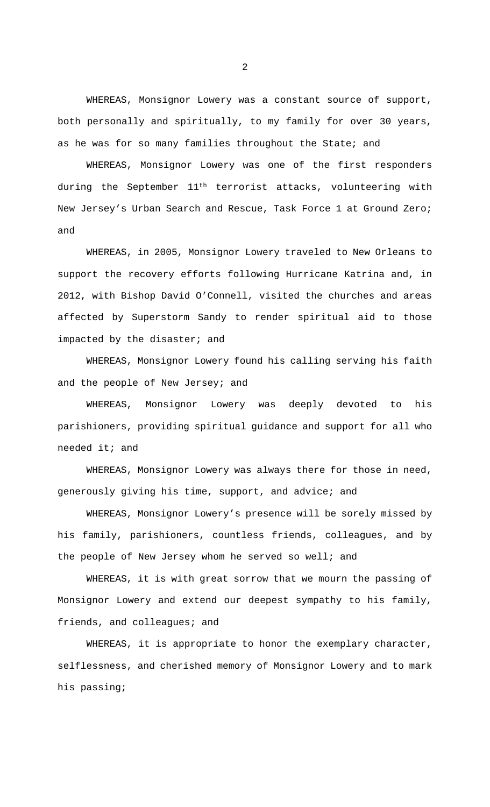WHEREAS, Monsignor Lowery was a constant source of support, both personally and spiritually, to my family for over 30 years, as he was for so many families throughout the State; and

WHEREAS, Monsignor Lowery was one of the first responders during the September 11<sup>th</sup> terrorist attacks, volunteering with New Jersey's Urban Search and Rescue, Task Force 1 at Ground Zero; and

WHEREAS, in 2005, Monsignor Lowery traveled to New Orleans to support the recovery efforts following Hurricane Katrina and, in 2012, with Bishop David O'Connell, visited the churches and areas affected by Superstorm Sandy to render spiritual aid to those impacted by the disaster; and

WHEREAS, Monsignor Lowery found his calling serving his faith and the people of New Jersey; and

WHEREAS, Monsignor Lowery was deeply devoted to his parishioners, providing spiritual guidance and support for all who needed it; and

WHEREAS, Monsignor Lowery was always there for those in need, generously giving his time, support, and advice; and

WHEREAS, Monsignor Lowery's presence will be sorely missed by his family, parishioners, countless friends, colleagues, and by the people of New Jersey whom he served so well; and

WHEREAS, it is with great sorrow that we mourn the passing of Monsignor Lowery and extend our deepest sympathy to his family, friends, and colleagues; and

WHEREAS, it is appropriate to honor the exemplary character, selflessness, and cherished memory of Monsignor Lowery and to mark his passing;

2